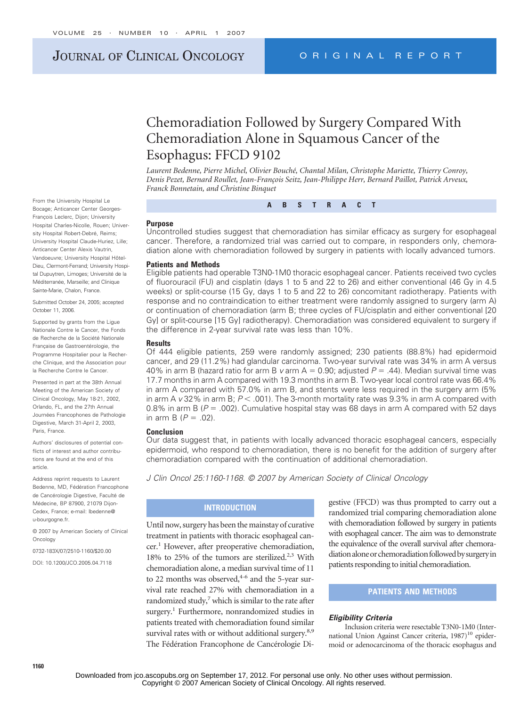# JOURNAL OF CLINICAL ONCOLOGY ORIGINAL REPORT

# Chemoradiation Followed by Surgery Compared With Chemoradiation Alone in Squamous Cancer of the Esophagus: FFCD 9102

*Laurent Bedenne, Pierre Michel, Olivier Bouché, Chantal Milan, Christophe Mariette, Thierry Conroy,* Denis Pezet, Bernard Roullet, Jean-François Seitz, Jean-Philippe Herr, Bernard Paillot, Patrick Arveux, *Franck Bonnetain, and Christine Binquet*

From the University Hospital Le Bocage; Anticancer Center Georges-Francois Leclerc, Dijon; University Hospital Charles-Nicolle, Rouen; University Hospital Robert-Debré, Reims; University Hospital Claude-Huriez, Lille; Anticancer Center Alexis Vautrin, Vandoeuvre; University Hospital Hôtel-Dieu, Clermont-Ferrand; University Hospital Dupuytren, Limoges; Université de la Méditerranée, Marseille; and Clinique Sainte-Marie, Chalon, France.

Submitted October 24, 2005; accepted October 11, 2006.

Supported by grants from the Lique Nationale Contre le Cancer, the Fonds de Recherche de la Société Nationale Française de Gastroentérologie, the Programme Hospitalier pour la Recherche Clinique, and the Association pour la Recherche Contre le Cancer.

Presented in part at the 38th Annual Meeting of the American Society of Clinical Oncology, May 18-21, 2002, Orlando, FL, and the 27th Annual Journées Francophones de Pathologie Digestive, March 31-April 2, 2003, Paris, France.

Authors' disclosures of potential conflicts of interest and author contributions are found at the end of this article.

Address reprint requests to Laurent Bedenne, MD, Fédération Francophone de Cancérologie Digestive, Faculté de Médecine, BP 87900, 21079 Dijon-Cedex, France; e-mail: lbedenne@ u-bourgogne.fr.

© 2007 by American Society of Clinical Oncology

0732-183X/07/2510-1160/\$20.00

DOI: 10.1200/JCO.2005.04.7118

# **Purpose**

Uncontrolled studies suggest that chemoradiation has similar efficacy as surgery for esophageal cancer. Therefore, a randomized trial was carried out to compare, in responders only, chemoradiation alone with chemoradiation followed by surgery in patients with locally advanced tumors.

**ABSTRACT**

#### **Patients and Methods**

Eligible patients had operable T3N0-1M0 thoracic esophageal cancer. Patients received two cycles of fluorouracil (FU) and cisplatin (days 1 to 5 and 22 to 26) and either conventional (46 Gy in 4.5 weeks) or split-course (15 Gy, days 1 to 5 and 22 to 26) concomitant radiotherapy. Patients with response and no contraindication to either treatment were randomly assigned to surgery (arm A) or continuation of chemoradiation (arm B; three cycles of FU/cisplatin and either conventional [20 Gy] or split-course [15 Gy] radiotherapy). Chemoradiation was considered equivalent to surgery if the difference in 2-year survival rate was less than 10%.

#### **Results**

Of 444 eligible patients, 259 were randomly assigned; 230 patients (88.8%) had epidermoid cancer, and 29 (11.2%) had glandular carcinoma. Two-year survival rate was 34% in arm A versus 40% in arm B (hazard ratio for arm B  $v$  arm  $A = 0.90$ ; adjusted  $P = .44$ ). Median survival time was 17.7 months in arm A compared with 19.3 months in arm B. Two-year local control rate was 66.4% in arm A compared with 57.0% in arm B, and stents were less required in the surgery arm (5% in arm A *v* 32% in arm B; *P* < .001). The 3-month mortality rate was 9.3% in arm A compared with 0.8% in arm B ( $P = 0.002$ ). Cumulative hospital stay was 68 days in arm A compared with 52 days in arm B  $(P = .02)$ .

#### **Conclusion**

Our data suggest that, in patients with locally advanced thoracic esophageal cancers, especially epidermoid, who respond to chemoradiation, there is no benefit for the addition of surgery after chemoradiation compared with the continuation of additional chemoradiation.

*J Clin Oncol 25:1160-1168. © 2007 by American Society of Clinical Oncology*

# **INTRODUCTION**

Until now, surgery has been the mainstay of curative treatment in patients with thoracic esophageal can $cer<sup>1</sup>$  However, after preoperative chemoradiation, 18% to 25% of the tumors are sterilized.<sup>2,3</sup> With chemoradiation alone, a median survival time of 11 to 22 months was observed, $4-6$  and the 5-year survival rate reached 27% with chemoradiation in a randomized study, $\frac{7}{1}$  which is similar to the rate after surgery.<sup>1</sup> Furthermore, nonrandomized studies in patients treated with chemoradiation found similar survival rates with or without additional surgery.<sup>8,9</sup> The Fédération Francophone de Cancérologie Digestive (FFCD) was thus prompted to carry out a randomized trial comparing chemoradiation alone with chemoradiation followed by surgery in patients with esophageal cancer. The aim was to demonstrate the equivalence of the overall survival after chemoradiation alone or chemoradiation followed by surgery in patients responding to initial chemoradiation.

# **PATIENTS AND METHODS**

#### *Eligibility Criteria*

Inclusion criteria were resectable T3N0-1M0 (International Union Against Cancer criteria, 1987)<sup>10</sup> epidermoid or adenocarcinoma of the thoracic esophagus and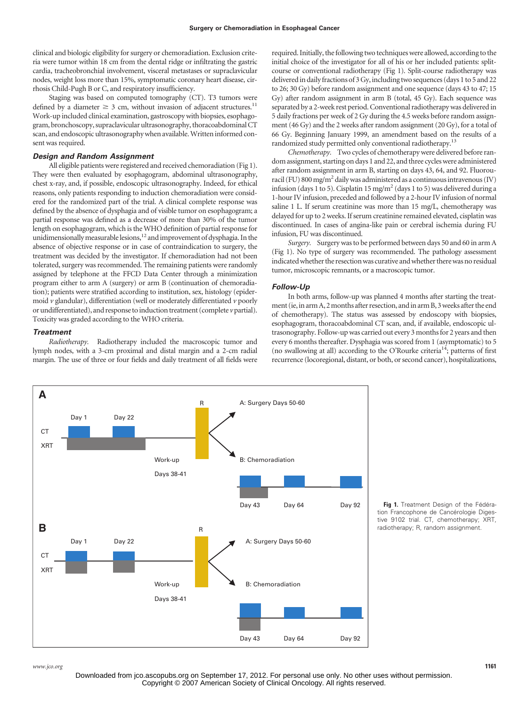clinical and biologic eligibility for surgery or chemoradiation. Exclusion criteria were tumor within 18 cm from the dental ridge or infiltrating the gastric cardia, tracheobronchial involvement, visceral metastases or supraclavicular nodes, weight loss more than 15%, symptomatic coronary heart disease, cirrhosis Child-Pugh B or C, and respiratory insufficiency.

Staging was based on computed tomography (CT). T3 tumors were defined by a diameter  $\geq 3$  cm, without invasion of adjacent structures.<sup>11</sup> Work-up included clinical examination, gastroscopy with biopsies, esophagogram, bronchoscopy, supraclavicular ultrasonography, thoracoabdominal CT scan, and endoscopic ultrasonography when available. Written informed consent was required.

## *Design and Random Assignment*

All eligible patients were registered and received chemoradiation (Fig 1). They were then evaluated by esophagogram, abdominal ultrasonography, chest x-ray, and, if possible, endoscopic ultrasonography. Indeed, for ethical reasons, only patients responding to induction chemoradiation were considered for the randomized part of the trial. A clinical complete response was defined by the absence of dysphagia and of visible tumor on esophagogram; a partial response was defined as a decrease of more than 30% of the tumor length on esophagogram, which is the WHO definition of partial response for unidimensionally measurable lesions, $12$  and improvement of dysphagia. In the absence of objective response or in case of contraindication to surgery, the treatment was decided by the investigator. If chemoradiation had not been tolerated, surgery was recommended. The remaining patients were randomly assigned by telephone at the FFCD Data Center through a minimization program either to arm A (surgery) or arm B (continuation of chemoradiation); patients were stratified according to institution, sex, histology (epidermoid *v* glandular), differentiation (well or moderately differentiated *v* poorly or undifferentiated), and response to induction treatment (complete *v*partial). Toxicity was graded according to the WHO criteria.

#### *Treatment*

*Radiotherapy.* Radiotherapy included the macroscopic tumor and lymph nodes, with a 3-cm proximal and distal margin and a 2-cm radial margin. The use of three or four fields and daily treatment of all fields were required. Initially, the following two techniques were allowed, according to the initial choice of the investigator for all of his or her included patients: splitcourse or conventional radiotherapy (Fig 1). Split-course radiotherapy was delivered in daily fractions of 3 Gy, including two sequences (days 1 to 5 and 22 to 26; 30 Gy) before random assignment and one sequence (days 43 to 47; 15 Gy) after random assignment in arm B (total, 45 Gy). Each sequence was separated by a 2-week rest period. Conventional radiotherapy was delivered in 5 daily fractions per week of 2 Gy during the 4.5 weeks before random assignment (46 Gy) and the 2 weeks after random assignment (20 Gy), for a total of 66 Gy. Beginning January 1999, an amendment based on the results of a randomized study permitted only conventional radiotherapy.<sup>13</sup>

*Chemotherapy.* Two cycles of chemotherapy were delivered before random assignment, starting on days 1 and 22, and three cycles were administered after random assignment in arm B, starting on days 43, 64, and 92. Fluorouracil (FU) 800 mg/m<sup>2</sup> daily was administered as a continuous intravenous (IV) infusion (days 1 to 5). Cisplatin 15 mg/m<sup>2</sup> (days 1 to 5) was delivered during a 1-hour IV infusion, preceded and followed by a 2-hour IV infusion of normal saline 1 L. If serum creatinine was more than 15 mg/L, chemotherapy was delayed for up to 2 weeks. If serum creatinine remained elevated, cisplatin was discontinued. In cases of angina-like pain or cerebral ischemia during FU infusion, FU was discontinued.

*Surgery.* Surgery was to be performed between days 50 and 60 in arm A (Fig 1). No type of surgery was recommended. The pathology assessment indicated whether the resection was curative and whether there was no residual tumor, microscopic remnants, or a macroscopic tumor.

#### *Follow-Up*

In both arms, follow-up was planned 4 months after starting the treatment (ie, in arm A, 2 months after resection, and in arm B, 3 weeks after the end of chemotherapy). The status was assessed by endoscopy with biopsies, esophagogram, thoracoabdominal CT scan, and, if available, endoscopic ultrasonography. Follow-up was carried out every 3 months for 2 years and then every 6 months thereafter. Dysphagia was scored from 1 (asymptomatic) to 5 (no swallowing at all) according to the O'Rourke criteria<sup>14</sup>; patterns of first recurrence (locoregional, distant, or both, or second cancer), hospitalizations,



**Fig 1.** Treatment Design of the Fédération Francophone de Cancérologie Digestive 9102 trial. CT, chemotherapy; XRT, radiotherapy; R, random assignment.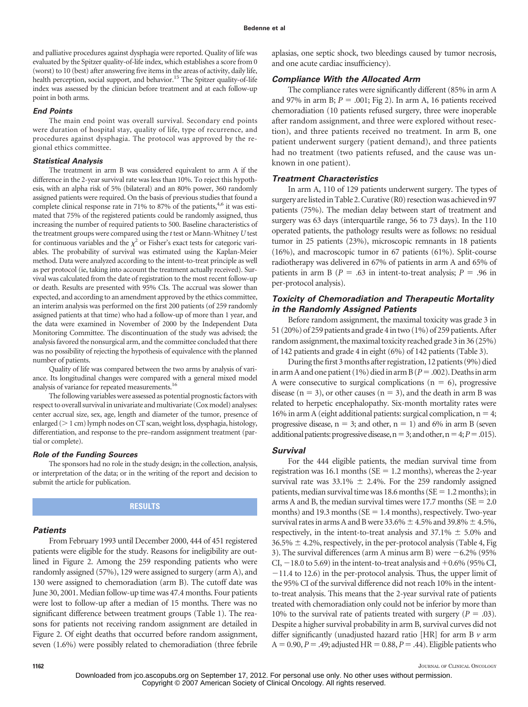and palliative procedures against dysphagia were reported. Quality of life was evaluated by the Spitzer quality-of-life index, which establishes a score from 0 (worst) to 10 (best) after answering five items in the areas of activity, daily life, health perception, social support, and behavior.<sup>15</sup> The Spitzer quality-of-life index was assessed by the clinician before treatment and at each follow-up point in both arms.

### *End Points*

The main end point was overall survival. Secondary end points were duration of hospital stay, quality of life, type of recurrence, and procedures against dysphagia. The protocol was approved by the regional ethics committee.

#### *Statistical Analysis*

The treatment in arm B was considered equivalent to arm A if the difference in the 2-year survival rate was less than 10%. To reject this hypothesis, with an alpha risk of 5% (bilateral) and an 80% power, 360 randomly assigned patients were required. On the basis of previous studies that found a complete clinical response rate in 71% to 87% of the patients,<sup>4,6</sup> it was estimated that 75% of the registered patients could be randomly assigned, thus increasing the number of required patients to 500. Baseline characteristics of the treatment groups were compared using the *t* test or Mann-Whitney *U* test for continuous variables and the  $\chi^2$  or Fisher's exact tests for categoric variables. The probability of survival was estimated using the Kaplan-Meier method. Data were analyzed according to the intent-to-treat principle as well as per protocol (ie, taking into account the treatment actually received). Survival was calculated from the date of registration to the most recent follow-up or death. Results are presented with 95% CIs. The accrual was slower than expected, and according to an amendment approved by the ethics committee, an interim analysis was performed on the first 200 patients (of 259 randomly assigned patients at that time) who had a follow-up of more than 1 year, and the data were examined in November of 2000 by the Independent Data Monitoring Committee. The discontinuation of the study was advised; the analysis favored the nonsurgical arm, and the committee concluded that there was no possibility of rejecting the hypothesis of equivalence with the planned number of patients.

Quality of life was compared between the two arms by analysis of variance. Its longitudinal changes were compared with a general mixed model analysis of variance for repeated measurements.<sup>16</sup>

The following variables were assessed as potential prognostic factors with respect to overall survival in univariate and multivariate (Cox model) analyses: center accrual size, sex, age, length and diameter of the tumor, presence of enlarged ( $> 1$  cm) lymph nodes on CT scan, weight loss, dysphagia, histology, differentiation, and response to the pre–random assignment treatment (partial or complete).

#### *Role of the Funding Sources*

The sponsors had no role in the study design; in the collection, analysis, or interpretation of the data; or in the writing of the report and decision to submit the article for publication.

## **RESULTS**

# *Patients*

From February 1993 until December 2000, 444 of 451 registered patients were eligible for the study. Reasons for ineligibility are outlined in Figure 2. Among the 259 responding patients who were randomly assigned (57%), 129 were assigned to surgery (arm A), and 130 were assigned to chemoradiation (arm B). The cutoff date was June 30, 2001. Median follow-up time was 47.4 months. Four patients were lost to follow-up after a median of 15 months. There was no significant difference between treatment groups (Table 1). The reasons for patients not receiving random assignment are detailed in Figure 2. Of eight deaths that occurred before random assignment, seven (1.6%) were possibly related to chemoradiation (three febrile aplasias, one septic shock, two bleedings caused by tumor necrosis, and one acute cardiac insufficiency).

#### *Compliance With the Allocated Arm*

The compliance rates were significantly different (85% in arm A and 97% in arm B;  $P = .001$ ; Fig 2). In arm A, 16 patients received chemoradiation (10 patients refused surgery, three were inoperable after random assignment, and three were explored without resection), and three patients received no treatment. In arm B, one patient underwent surgery (patient demand), and three patients had no treatment (two patients refused, and the cause was unknown in one patient).

#### *Treatment Characteristics*

In arm A, 110 of 129 patients underwent surgery. The types of surgery are listed in Table 2. Curative (R0) resection was achieved in 97 patients (75%). The median delay between start of treatment and surgery was 63 days (interquartile range, 56 to 73 days). In the 110 operated patients, the pathology results were as follows: no residual tumor in 25 patients (23%), microscopic remnants in 18 patients (16%), and macroscopic tumor in 67 patients (61%). Split-course radiotherapy was delivered in 67% of patients in arm A and 65% of patients in arm B ( $P = .63$  in intent-to-treat analysis;  $P = .96$  in per-protocol analysis).

# *Toxicity of Chemoradiation and Therapeutic Mortality in the Randomly Assigned Patients*

Before random assignment, the maximal toxicity was grade 3 in 51 (20%) of 259 patients and grade 4 in two (1%) of 259 patients. After random assignment, the maximal toxicity reached grade 3 in 36 (25%) of 142 patients and grade 4 in eight (6%) of 142 patients (Table 3).

During the first 3 months after registration, 12 patients (9%) died in arm A and one patient (1%) died in arm B ( $P = .002$ ). Deaths in arm A were consecutive to surgical complications ( $n = 6$ ), progressive disease ( $n = 3$ ), or other causes ( $n = 3$ ), and the death in arm B was related to herpetic encephalopathy. Six-month mortality rates were 16% in arm A (eight additional patients: surgical complication,  $n = 4$ ; progressive disease,  $n = 3$ ; and other,  $n = 1$ ) and 6% in arm B (seven additional patients: progressive disease,  $n=3$ ; and other,  $n=4; P=.015$ ).

## *Survival*

For the 444 eligible patients, the median survival time from registration was 16.1 months ( $SE = 1.2$  months), whereas the 2-year survival rate was 33.1%  $\pm$  2.4%. For the 259 randomly assigned patients, median survival time was 18.6 months ( $SE = 1.2$  months); in arms A and B, the median survival times were 17.7 months ( $SE = 2.0$ ) months) and 19.3 months ( $SE = 1.4$  months), respectively. Two-year survival rates in arms A and B were  $33.6\% \pm 4.5\%$  and  $39.8\% \pm 4.5\%$ , respectively, in the intent-to-treat analysis and  $37.1\% \pm 5.0\%$  and  $36.5\% \pm 4.2\%$ , respectively, in the per-protocol analysis (Table 4, Fig. 3). The survival differences (arm A minus arm B) were  $-6.2\%$  (95% CI,  $-18.0$  to 5.69) in the intent-to-treat analysis and  $+0.6\%$  (95% CI,  $-11.4$  to 12.6) in the per-protocol analysis. Thus, the upper limit of the 95% CI of the survival difference did not reach 10% in the intentto-treat analysis. This means that the 2-year survival rate of patients treated with chemoradiation only could not be inferior by more than 10% to the survival rate of patients treated with surgery  $(P = .03)$ . Despite a higher survival probability in arm B, survival curves did not differ significantly (unadjusted hazard ratio [HR] for arm B *v* arm  $A = 0.90, P = .49$ ; adjusted HR = 0.88,  $P = .44$ ). Eligible patients who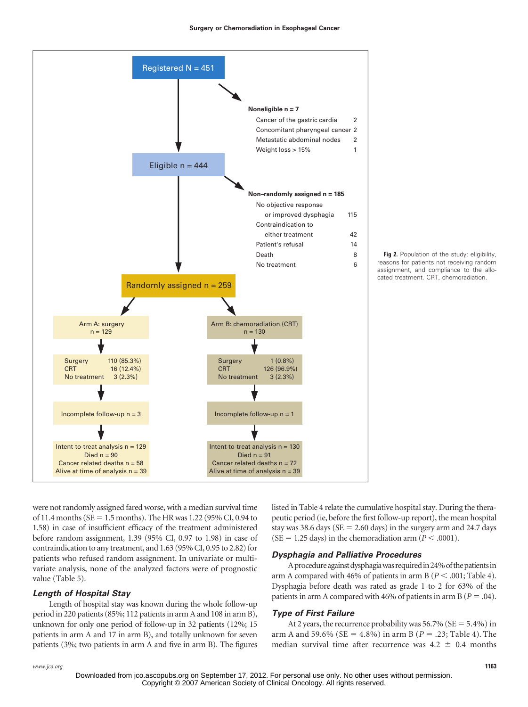



were not randomly assigned fared worse, with a median survival time of 11.4 months ( $SE = 1.5$  months). The HR was 1.22 (95% CI, 0.94 to 1.58) in case of insufficient efficacy of the treatment administered before random assignment, 1.39 (95% CI, 0.97 to 1.98) in case of contraindication to any treatment, and 1.63 (95% CI, 0.95 to 2.82) for patients who refused random assignment. In univariate or multivariate analysis, none of the analyzed factors were of prognostic value (Table 5).

# *Length of Hospital Stay*

Length of hospital stay was known during the whole follow-up period in 220 patients (85%; 112 patients in arm A and 108 in arm B), unknown for only one period of follow-up in 32 patients (12%; 15 patients in arm A and 17 in arm B), and totally unknown for seven patients (3%; two patients in arm A and five in arm B). The figures listed in Table 4 relate the cumulative hospital stay. During the therapeutic period (ie, before the first follow-up report), the mean hospital stay was 38.6 days ( $SE = 2.60$  days) in the surgery arm and 24.7 days  $(SE = 1.25 \text{ days})$  in the chemoradiation arm ( $P < .0001$ ).

## *Dysphagia and Palliative Procedures*

A procedure against dysphagia was required in 24% of the patients in arm A compared with 46% of patients in arm B ( $P < .001$ ; Table 4). Dysphagia before death was rated as grade 1 to 2 for 63% of the patients in arm A compared with 46% of patients in arm B ( $P = .04$ ).

## *Type of First Failure*

At 2 years, the recurrence probability was  $56.7\%$  (SE =  $5.4\%$ ) in arm A and 59.6% ( $SE = 4.8\%$ ) in arm B ( $P = .23$ ; Table 4). The median survival time after recurrence was  $4.2 \pm 0.4$  months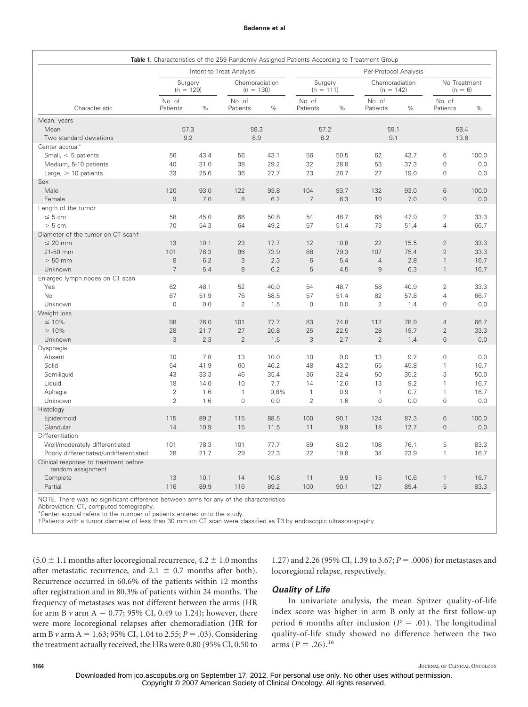#### **Bedenne et al**

|                                                            |                          |      |                               |                       |                        |      | Table 1. Characteristics of the 259 Randomly Assigned Patients According to Treatment Group |      |                               |             |
|------------------------------------------------------------|--------------------------|------|-------------------------------|-----------------------|------------------------|------|---------------------------------------------------------------------------------------------|------|-------------------------------|-------------|
|                                                            | Intent-to-Treat Analysis |      |                               | Per-Protocol Analysis |                        |      |                                                                                             |      |                               |             |
|                                                            | Surgery<br>$(n = 129)$   |      | Chemoradiation<br>$(n = 130)$ |                       | Surgery<br>$(n = 111)$ |      | Chemoradiation<br>$(n = 142)$                                                               |      | No Treatment<br>$(n = 6)$     |             |
| Characteristic                                             | No. of<br>Patients       | %    | No. of<br>Patients            | %                     | No. of<br>Patients     | $\%$ | No. of<br>Patients                                                                          | %    | No. of<br>Patients            | %           |
| Mean, years                                                |                          |      |                               |                       |                        |      |                                                                                             |      |                               |             |
| Mean                                                       |                          | 57.3 | 59.3                          |                       | 57.2                   |      | 59.1                                                                                        |      | 58.4                          |             |
| Two standard deviations                                    |                          | 9.2  | 8.9                           |                       | 8.2                    |      | 9.1                                                                                         |      | 13.6                          |             |
| Center accrual*                                            |                          |      |                               |                       |                        |      |                                                                                             |      |                               |             |
| Small, $<$ 5 patients                                      | 56                       | 43.4 | 56                            | 43.1                  | 56                     | 50.5 | 62                                                                                          | 43.7 | 6                             | 100.0       |
| Medium, 5-10 patients                                      | 40                       | 31.0 | 38                            | 29.2                  | 32                     | 28.8 | 53                                                                                          | 37.3 | $\mathbf 0$                   | 0.0         |
| Large, $>$ 10 patients                                     | 33                       | 25.6 | 36                            | 27.7                  | 23                     | 20.7 | 27                                                                                          | 19.0 | $\mathbf 0$                   | 0.0         |
| Sex                                                        |                          |      |                               |                       |                        |      |                                                                                             |      |                               |             |
| Male                                                       | 120                      | 93.0 | 122                           | 93.8                  | 104                    | 93.7 | 132                                                                                         | 93.0 | 6                             | 100.0       |
| Female                                                     | $\overline{9}$           | 7.0  | 8                             | 6.2                   | $\overline{7}$         | 6.3  | 10                                                                                          | 7.0  | $\mathsf{O}\xspace$           | 0.0         |
| Length of the tumor                                        |                          |      |                               |                       |                        |      |                                                                                             |      |                               |             |
| $\leq 5$ cm                                                | 58                       | 45.0 | 66                            | 50.8                  | 54                     | 48.7 | 68                                                                                          | 47.9 | $\overline{2}$                | 33.3        |
| > 5 cm                                                     | 70                       | 54.3 | 64                            | 49.2                  | 57                     | 51.4 | 73                                                                                          | 51.4 | $\overline{4}$                | 66.7        |
| Diameter of the tumor on CT scant                          |                          |      |                               |                       |                        |      |                                                                                             |      |                               |             |
| $\leq$ 20 mm                                               | 13                       | 10.1 | 23                            | 17.7                  | 12                     | 10.8 | 22                                                                                          | 15.5 | $\overline{2}$                | 33.3        |
| 21-50 mm                                                   | 101                      | 78.3 | 96                            | 73.9                  | 88                     | 79.3 | 107                                                                                         | 75.4 | $\overline{2}$                | 33.3        |
| $> 50$ mm                                                  | 8                        | 6.2  | 3                             | 2.3                   | 6                      | 5.4  | $\overline{4}$                                                                              | 2.8  | $\mathbf{1}$                  | 16.7        |
| Unknown                                                    | $\overline{7}$           | 5.4  | 8                             | 6.2                   | 5                      | 4.5  | $\mathsf g$                                                                                 | 6.3  | $\mathbf{1}$                  | 16.7        |
| Enlarged lymph nodes on CT scan                            |                          |      |                               |                       |                        |      |                                                                                             |      |                               |             |
| Yes                                                        | 62                       | 48.1 | 52                            | 40.0                  | 54                     | 48.7 | 58                                                                                          | 40.9 | $\overline{2}$                | 33.3        |
| No                                                         | 67<br>$\mathbf 0$        | 51.9 | 76<br>$\overline{2}$          | 58.5                  | 57<br>$\mathbf 0$      | 51.4 | 82<br>$\overline{2}$                                                                        | 57.8 | $\overline{4}$<br>$\mathbf 0$ | 66.7<br>0.0 |
| Unknown<br>Weight loss                                     |                          | 0.0  |                               | 1.5                   |                        | 0.0  |                                                                                             | 1.4  |                               |             |
| $\leq 10\%$                                                | 98                       | 76.0 | 101                           | 77.7                  | 83                     | 74.8 | 112                                                                                         | 78.9 | $\overline{4}$                | 66.7        |
| >10%                                                       | 28                       | 21.7 | 27                            | 20.8                  | 25                     | 22.5 | 28                                                                                          | 19.7 | $\overline{2}$                | 33.3        |
| Unknown                                                    | 3                        | 2.3  | $\overline{2}$                | 1.5                   | 3                      | 2.7  | $\overline{2}$                                                                              | 1.4  | $\mathsf{O}\xspace$           | 0.0         |
| Dysphagia                                                  |                          |      |                               |                       |                        |      |                                                                                             |      |                               |             |
| Absent                                                     | 10                       | 7.8  | 13                            | 10.0                  | 10                     | 9.0  | 13                                                                                          | 9.2  | $\mathsf{O}\xspace$           | 0.0         |
| Solid                                                      | 54                       | 41.9 | 60                            | 46.2                  | 48                     | 43.2 | 65                                                                                          | 45.8 | $\mathbf{1}$                  | 16.7        |
| Semiliquid                                                 | 43                       | 33.3 | 46                            | 35.4                  | 36                     | 32.4 | 50                                                                                          | 35.2 | 3                             | 50.0        |
| Liquid                                                     | 18                       | 14.0 | 10                            | 7.7                   | 14                     | 12.6 | 13                                                                                          | 9.2  | $\mathbf{1}$                  | 16.7        |
| Aphagia                                                    | $\overline{2}$           | 1.6  | $\mathbf{1}$                  | 0,8%                  | $\mathbf{1}$           | 0.9  | $\mathbf{1}$                                                                                | 0.7  | $\mathbf{1}$                  | 16.7        |
| Unknown                                                    | $\overline{2}$           | 1.6  | $\mathbf 0$                   | 0.0                   | $\overline{2}$         | 1.6  | $\mathbf 0$                                                                                 | 0.0  | $\mathbf 0$                   | 0.0         |
| Histology                                                  |                          |      |                               |                       |                        |      |                                                                                             |      |                               |             |
| Epidermoid                                                 | 115                      | 89.2 | 115                           | 88.5                  | 100                    | 90.1 | 124                                                                                         | 87.3 | 6                             | 100.0       |
| Glandular                                                  | 14                       | 10.9 | 15                            | 11.5                  | 11                     | 9.9  | 18                                                                                          | 12.7 | $\mathsf{O}\xspace$           | 0.0         |
| Differentiation                                            |                          |      |                               |                       |                        |      |                                                                                             |      |                               |             |
| Well/moderately differentiated                             | 101                      | 78.3 | 101                           | 77.7                  | 89                     | 80.2 | 108                                                                                         | 76.1 | 5                             | 83.3        |
| Poorly differentiated/undifferentiated                     | 28                       | 21.7 | 29                            | 22.3                  | 22                     | 19.8 | 34                                                                                          | 23.9 | $\mathbf{1}$                  | 16.7        |
| Clinical response to treatment before<br>random assignment |                          |      |                               |                       |                        |      |                                                                                             |      |                               |             |
| Complete                                                   | 13                       | 10.1 | 14                            | 10.8                  | 11                     | 9.9  | 15                                                                                          | 10.6 | $\mathbf{1}$                  | 16.7        |
| Partial                                                    | 116                      | 89.9 | 116                           | 89.2                  | 100                    | 90.1 | 127                                                                                         | 89.4 | 5                             | 83.3        |

NOTE. There was no significant difference between arms for any of the characteristics

Abbreviation: CT, computed tomography.

Center accrual refers to the number of patients entered onto the study.

†Patients with a tumor diameter of less than 30 mm on CT scan were classified as T3 by endoscopic ultrasonography.

 $(5.0 \pm 1.1$  months after locoregional recurrence,  $4.2 \pm 1.0$  months after metastatic recurrence, and  $2.1 \pm 0.7$  months after both). Recurrence occurred in 60.6% of the patients within 12 months after registration and in 80.3% of patients within 24 months. The frequency of metastases was not different between the arms (HR for arm B  $\nu$  arm A = 0.77; 95% CI, 0.49 to 1.24); however, there were more locoregional relapses after chemoradiation (HR for arm B *v* arm A = 1.63; 95% CI, 1.04 to 2.55;  $P = .03$ ). Considering the treatment actually received, the HRs were 0.80 (95% CI, 0.50 to

1.27) and 2.26 (95% CI, 1.39 to 3.67;  $P = 0.0006$ ) for metastases and locoregional relapse, respectively.

# *Quality of Life*

In univariate analysis, the mean Spitzer quality-of-life index score was higher in arm B only at the first follow-up period 6 months after inclusion ( $P = .01$ ). The longitudinal quality-of-life study showed no difference between the two arms  $(P = .26).^{16}$ 

Downloaded from jco.ascopubs.org on September 17, 2012. For personal use only. No other uses without permission. Copyright © 2007 American Society of Clinical Oncology. All rights reserved.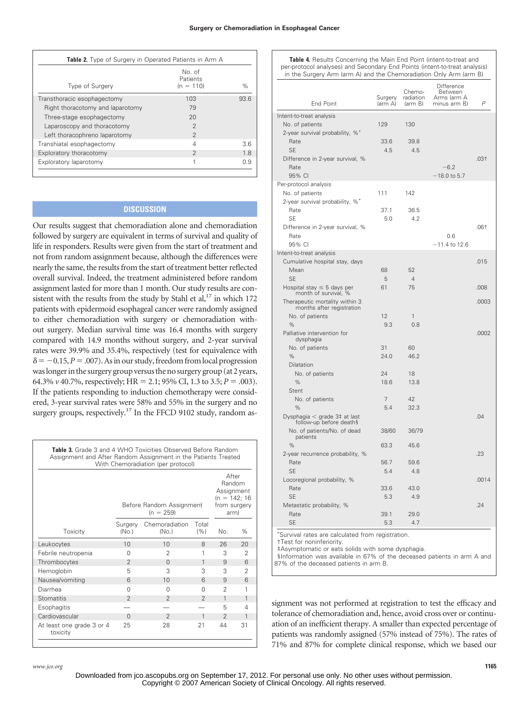| Table 2. Type of Surgery in Operated Patients in Arm A |                                   |      |  |  |  |
|--------------------------------------------------------|-----------------------------------|------|--|--|--|
| Type of Surgery                                        | No. of<br>Patients<br>$(n = 110)$ | $\%$ |  |  |  |
| Transthoracic esophagectomy                            | 103                               | 936  |  |  |  |
| Right thoracotomy and laparotomy                       | 79                                |      |  |  |  |
| Three-stage esophagectomy                              | 20                                |      |  |  |  |
| Laparoscopy and thoracotomy                            | $\mathfrak{D}$                    |      |  |  |  |
| Left thoracophreno laparotomy                          | 2                                 |      |  |  |  |
| Transhiatal esophagectomy                              | 4                                 | 3.6  |  |  |  |
| Exploratory thoracotomy                                | $\mathfrak{D}$                    | 1.8  |  |  |  |
| Exploratory laparotomy                                 | 1                                 | 0.9  |  |  |  |

# **DISCUSSION**

Our results suggest that chemoradiation alone and chemoradiation followed by surgery are equivalent in terms of survival and quality of life in responders. Results were given from the start of treatment and not from random assignment because, although the differences were nearly the same, the results from the start of treatment better reflected overall survival. Indeed, the treatment administered before random assignment lasted for more than 1 month. Our study results are consistent with the results from the study by Stahl et al, $^{17}$  in which 172 patients with epidermoid esophageal cancer were randomly assigned to either chemoradiation with surgery or chemoradiation without surgery. Median survival time was 16.4 months with surgery compared with 14.9 months without surgery, and 2-year survival rates were 39.9% and 35.4%, respectively (test for equivalence with  $\delta = -0.15, P = .007$ . As in our study, freedom from local progression was longer in the surgery group versus the no surgery group (at 2 years, 64.3%  $\nu$  40.7%, respectively; HR = 2.1; 95% CI, 1.3 to 3.5;  $P = .003$ ). If the patients responding to induction chemotherapy were considered, 3-year survival rates were 58% and 55% in the surgery and no surgery groups, respectively.<sup>17</sup> In the FFCD 9102 study, random as-

**Table 3.** Grade 3 and 4 WHO Toxicities Observed Before Random Assignment and After Random Assignment in the Patients Treated With Chemoradiation (per protocol)

|                                       | Before Random Assignment | After<br>Random<br>Assignment<br>$(n = 142; 16)$<br>from surgery<br>arm) |                |                |                |
|---------------------------------------|--------------------------|--------------------------------------------------------------------------|----------------|----------------|----------------|
| Toxicity                              | Surgery<br>(No.)         | Chemoradiation<br>(No.)                                                  | Total<br>(% )  | No.            | %              |
| Leukocytes                            | 10                       | 10                                                                       | 8              | 26             | 20             |
| Febrile neutropenia                   | $\Omega$                 | 2                                                                        | 1              | 3              | $\mathfrak{D}$ |
| Thrombocytes                          | $\overline{2}$           | $\Omega$                                                                 | 1              | 9              | 6              |
| Hemoglobin                            | 5                        | 3                                                                        | 3              | 3              | $\overline{2}$ |
| Nausea/vomiting                       | 6                        | 10                                                                       | 6              | 9              | 6              |
| Diarrhea                              | $\Omega$                 | $\Omega$                                                                 | O              | 2              | 1              |
| <b>Stomatitis</b>                     | $\overline{2}$           | $\overline{2}$                                                           | $\mathfrak{D}$ | 1              | 1              |
| Esophagitis                           |                          |                                                                          |                | 5              | 4              |
| Cardiovascular                        | $\Omega$                 | $\overline{2}$                                                           | 1              | $\mathfrak{D}$ | 1              |
| At least one grade 3 or 4<br>toxicity | 25                       | 28                                                                       | 21             | 44             | 31             |

**Table 4.** Results Concerning the Main End Point (intent-to-treat and per-protocol analyses) and Secondary End Points (intent-to-treat analysis) in the Surgery Arm (arm A) and the Chemoradiation Only Arm (arm B)

| <b>End Point</b>                                                               | Surgery<br>(arm A)                                               | Chemo-<br>radiation<br>(arm B) | Difference<br>Between<br>Arms (arm A<br>minus arm B) | P      |
|--------------------------------------------------------------------------------|------------------------------------------------------------------|--------------------------------|------------------------------------------------------|--------|
|                                                                                |                                                                  |                                |                                                      |        |
| Intent-to-treat analysis<br>No. of patients<br>2-year survival probability, %* | 129                                                              | 130                            |                                                      |        |
| Rate<br><b>SE</b>                                                              | 33.6<br>4.5                                                      | 39.8<br>4.5                    |                                                      |        |
| Difference in 2-year survival, %<br>Rate<br>95% CI                             |                                                                  |                                | $-6.2$<br>-18.0 to 5.7                               | $.03+$ |
| Per-protocol analysis                                                          |                                                                  |                                |                                                      |        |
| No. of patients                                                                | 111                                                              | 142                            |                                                      |        |
| 2-year survival probability, %*                                                |                                                                  |                                |                                                      |        |
| Rate                                                                           | 37.1                                                             | 36.5                           |                                                      |        |
| <b>SE</b>                                                                      | 5.0                                                              | 4.2                            |                                                      | $.06+$ |
| Difference in 2-year survival, %<br>Rate                                       |                                                                  |                                | 0.6                                                  |        |
| 95% CI                                                                         |                                                                  |                                | $-11.4$ to 12.6                                      |        |
| Intent-to-treat analysis                                                       |                                                                  |                                |                                                      |        |
| Cumulative hospital stay, days                                                 |                                                                  |                                |                                                      | .015   |
| Mean                                                                           | 68                                                               | 52                             |                                                      |        |
| <b>SE</b>                                                                      | 5                                                                | $\overline{4}$                 |                                                      |        |
| Hospital stay $\leq$ 5 days per<br>month of survival, %                        | 61                                                               | 75                             |                                                      | .008   |
| Therapeutic mortality within 3<br>months after registration                    |                                                                  |                                |                                                      | .0003  |
| No. of patients                                                                | 12                                                               | 1                              |                                                      |        |
| %                                                                              | 9.3                                                              | 0.8                            |                                                      |        |
| Palliative intervention for<br>dysphagia                                       |                                                                  |                                |                                                      | .0002  |
| No. of patients                                                                | 31                                                               | 60                             |                                                      |        |
| $\%$                                                                           | 24.0                                                             | 46.2                           |                                                      |        |
| Dilatation                                                                     | 24                                                               | 18                             |                                                      |        |
| No. of patients<br>%                                                           | 18.6                                                             | 13.8                           |                                                      |        |
| Stent                                                                          |                                                                  |                                |                                                      |        |
| No. of patients                                                                | 7                                                                | 42                             |                                                      |        |
| $\%$                                                                           | 5.4                                                              | 32.3                           |                                                      |        |
| Dysphagia $\leq$ grade 3# at last<br>follow-up before deaths                   |                                                                  |                                |                                                      | .04    |
| No. of patients/No. of dead<br>patients                                        | 38/60                                                            | 36/79                          |                                                      |        |
| %                                                                              | 63.3                                                             | 45.6                           |                                                      |        |
| 2-year recurrence probability, %                                               |                                                                  |                                |                                                      | .23    |
| Rate                                                                           | 56.7                                                             | 59.6                           |                                                      |        |
| <b>SE</b>                                                                      | 5.4                                                              | 4.8                            |                                                      |        |
| Locoregional probability, %<br>Rate                                            | 33.6                                                             | 43.0                           |                                                      | .0014  |
| <b>SE</b>                                                                      | 5.3                                                              | 4.9                            |                                                      |        |
| Metastatic probability, %                                                      |                                                                  |                                |                                                      | .24    |
| Rate                                                                           | 39.1                                                             | 29.0                           |                                                      |        |
| <b>SE</b>                                                                      | 5.3                                                              | 4.7                            |                                                      |        |
| Curvival roton are coloulated from                                             | $r_{\alpha}$ $r_{\alpha}$ $r_{\alpha}$ $r_{\alpha}$ $r_{\alpha}$ |                                |                                                      |        |

Survival rates are calculated from registration. †Test for noninferiority.

‡Asymptomatic or eats solids with some dysphagia.

§Information was available in 67% of the deceased patients in arm A and

87% of the deceased patients in arm B.

signment was not performed at registration to test the efficacy and tolerance of chemoradiation and, hence, avoid cross over or continuation of an inefficient therapy. A smaller than expected percentage of patients was randomly assigned (57% instead of 75%). The rates of 71% and 87% for complete clinical response, which we based our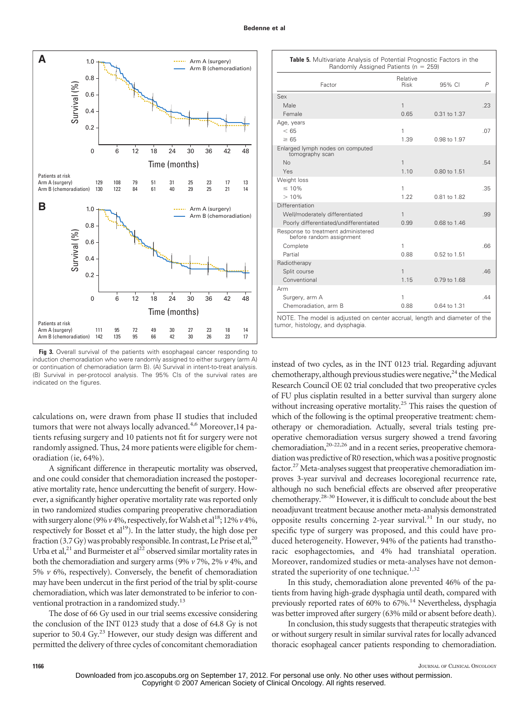

Fig 3. Overall survival of the patients with esophageal cancer responding to induction chemoradiation who were randomly assigned to either surgery (arm A) or continuation of chemoradiation (arm B). (A) Survival in intent-to-treat analysis. (B) Survival in per-protocol analysis. The 95% CIs of the survival rates are indicated on the figures.

calculations on, were drawn from phase II studies that included tumors that were not always locally advanced.<sup>4,6</sup> Moreover, 14 patients refusing surgery and 10 patients not fit for surgery were not randomly assigned. Thus, 24 more patients were eligible for chemoradiation (ie, 64%).

A significant difference in therapeutic mortality was observed, and one could consider that chemoradiation increased the postoperative mortality rate, hence undercutting the benefit of surgery. However, a significantly higher operative mortality rate was reported only in two randomized studies comparing preoperative chemoradiation with surgery alone (9%  $\nu$  4%, respectively, for Walsh et al<sup>18</sup>; 12%  $\nu$  4%, respectively for Bosset et  $al<sup>19</sup>$ ). In the latter study, the high dose per fraction (3.7 Gy) was probably responsible. In contrast, Le Prise et al,  $^{20}$ Urba et al,<sup>21</sup> and Burmeister et al<sup>22</sup> observed similar mortality rates in both the chemoradiation and surgery arms (9% *v* 7%, 2% *v* 4%, and 5%  $\nu$  6%, respectively). Conversely, the benefit of chemoradiation may have been undercut in the first period of the trial by split-course chemoradiation, which was later demonstrated to be inferior to conventional protraction in a randomized study.<sup>13</sup>

The dose of 66 Gy used in our trial seems excessive considering the conclusion of the INT 0123 study that a dose of 64.8 Gy is not superior to 50.4 Gy.<sup>23</sup> However, our study design was different and permitted the delivery of three cycles of concomitant chemoradiation

| Randomly Assigned Patients (n = 259)                                      |                         |              |     |  |  |  |
|---------------------------------------------------------------------------|-------------------------|--------------|-----|--|--|--|
| Factor                                                                    | Relative<br><b>Risk</b> | 95% CI       | P   |  |  |  |
| Sex                                                                       |                         |              |     |  |  |  |
| Male                                                                      | 1                       |              | .23 |  |  |  |
| Female                                                                    | 0.65                    | 0.31 to 1.37 |     |  |  |  |
| Age, years                                                                |                         |              |     |  |  |  |
| < 65                                                                      | 1                       |              | .07 |  |  |  |
| $\geq 65$                                                                 | 1.39                    | 0.98 to 1.97 |     |  |  |  |
| Enlarged lymph nodes on computed<br>tomography scan                       |                         |              |     |  |  |  |
| No                                                                        | 1                       |              | .54 |  |  |  |
| Yes                                                                       | 1.10                    | 0.80 to 1.51 |     |  |  |  |
| Weight loss                                                               |                         |              |     |  |  |  |
| $\leq 10\%$                                                               | 1                       |              | .35 |  |  |  |
| >10%                                                                      | 1.22                    | 0.81 to 1.82 |     |  |  |  |
| Differentiation                                                           |                         |              |     |  |  |  |
| Well/moderately differentiated                                            | 1                       |              | .99 |  |  |  |
| Poorly differentiated/undifferentiated                                    | 0.99                    | 0.68 to 1.46 |     |  |  |  |
| Response to treatment administered<br>before random assignment            |                         |              |     |  |  |  |
| Complete                                                                  | 1                       |              | .66 |  |  |  |
| Partial                                                                   | 0.88                    | 0.52 to 1.51 |     |  |  |  |
| Radiotherapy                                                              |                         |              |     |  |  |  |
| Split course                                                              | 1                       |              | .46 |  |  |  |
| Conventional                                                              | 1.15                    | 0.79 to 1.68 |     |  |  |  |
| Arm                                                                       |                         |              |     |  |  |  |
| Surgery, arm A                                                            | 1                       |              | .44 |  |  |  |
| Chemoradiation, arm B                                                     | 0.88                    | 0.64 to 1.31 |     |  |  |  |
| NOTE. The model is adjusted on center accrual, length and diameter of the |                         |              |     |  |  |  |

**Table 5.** Multivariate Analysis of Potential Prognostic Factors in the

tumor, histology, and dysphagia.

instead of two cycles, as in the INT 0123 trial. Regarding adjuvant chemotherapy, although previous studies were negative,  $^{24}$  the Medical Research Council OE 02 trial concluded that two preoperative cycles of FU plus cisplatin resulted in a better survival than surgery alone without increasing operative mortality.<sup>25</sup> This raises the question of which of the following is the optimal preoperative treatment: chemotherapy or chemoradiation. Actually, several trials testing preoperative chemoradiation versus surgery showed a trend favoring chemoradiation, $2^{0-22,26}$  and in a recent series, preoperative chemoradiation was predictive of R0 resection, which was a positive prognostic factor.<sup>27</sup> Meta-analyses suggest that preoperative chemoradiation improves 3-year survival and decreases locoregional recurrence rate, although no such beneficial effects are observed after preoperative chemotherapy.28-30 However, it is difficult to conclude about the best neoadjuvant treatment because another meta-analysis demonstrated opposite results concerning 2-year survival.<sup>31</sup> In our study, no specific type of surgery was proposed, and this could have produced heterogeneity. However, 94% of the patients had transthoracic esophagectomies, and 4% had transhiatal operation. Moreover, randomized studies or meta-analyses have not demonstrated the superiority of one technique.<sup>1,32</sup>

In this study, chemoradiation alone prevented 46% of the patients from having high-grade dysphagia until death, compared with previously reported rates of 60% to 67%.14 Nevertheless, dysphagia was better improved after surgery (63% mild or absent before death).

In conclusion, this study suggests that therapeutic strategies with or without surgery result in similar survival rates for locally advanced thoracic esophageal cancer patients responding to chemoradiation.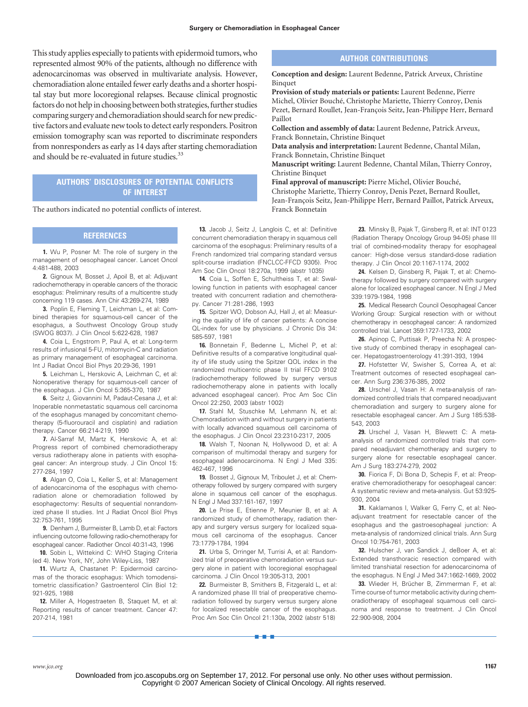This study applies especially to patients with epidermoid tumors, who represented almost 90% of the patients, although no difference with adenocarcinomas was observed in multivariate analysis. However, chemoradiation alone entailed fewer early deaths and a shorter hospital stay but more locoregional relapses. Because clinical prognostic factors do not help in choosing between both strategies, further studies comparing surgery and chemoradiation should search for new predictive factors and evaluate new tools to detect early responders. Positron emission tomography scan was reported to discriminate responders from nonresponders as early as 14 days after starting chemoradiation and should be re-evaluated in future studies.<sup>33</sup>

# **AUTHORS' DISCLOSURES OF POTENTIAL CONFLICTS OF INTEREST**

The authors indicated no potential conflicts of interest.

### **REFERENCES**

**1.** Wu P, Posner M: The role of surgery in the management of oesophageal cancer. Lancet Oncol 4:481-488, 2003

**2.** Gignoux M, Bosset J, Apoil B, et al: Adjuvant radiochemotherapy in operable cancers of the thoracic esophagus: Preliminary results of a multicentre study concerning 119 cases. Ann Chir 43:269-274, 1989

**3.** Poplin E, Fleming T, Leichman L, et al: Combined therapies for squamous-cell cancer of the esophagus, a Southwest Oncology Group study (SWOG 8037). J Clin Oncol 5:622-628, 1987

**4.** Coia L, Engstrom P, Paul A, et al: Long-term results of infusional 5-FU, mitomycin-C and radiation as primary management of esophageal carcinoma. Int J Radiat Oncol Biol Phys 20:29-36, 1991

**5.** Leichman L, Herskovic A, Leichman C, et al: Nonoperative therapy for squamous-cell cancer of the esophagus. J Clin Oncol 5:365-370, 1987

**6.** Seitz J, Giovannini M, Padaut-Cesana J, et al: Inoperable nonmetastatic squamous cell carcinoma of the esophagus managed by concomitant chemotherapy (5-fluorouracil and cisplatin) and radiation therapy. Cancer 66:214-219, 1990

**7.** Al-Sarraf M, Martz K, Herskovic A, et al: Progress report of combined chemoradiotherapy versus radiotherapy alone in patients with esophageal cancer: An intergroup study. J Clin Oncol 15: 277-284, 1997

**8.** Algan O, Coia L, Keller S, et al: Management of adenocarcinoma of the esophagus with chemoradiation alone or chemoradiation followed by esophagectomy: Results of sequential nonrandomized phase II studies. Int J Radiat Oncol Biol Phys 32:753-761, 1995

**9.** Denham J, Burmeister B, Lamb D, et al: Factors influencing outcome following radio-chemotherapy for esophageal cancer. Radiother Oncol 40:31-43, 1996

**10.** Sobin L, Wittekind C: WHO Staging Criteria (ed 4). New York, NY, John Wiley-Liss, 1987

**11.** Wurtz A, Chastanet P: Epidermoid carcinomas of the thoracic esophagus: Which tomodensitometric classification? Gastroenterol Clin Biol 12: 921-925, 1988

**12.** Miller A, Hogestraeten B, Staquet M, et al: Reporting results of cancer treatment. Cancer 47: 207-214, 1981

**13.** Jacob J, Seitz J, Langlois C, et al: Definitive concurrent chemoradiation therapy in squamous cell carcinoma of the esophagus: Preliminary results of a French randomized trial comparing standard versus split-course irradiation (FNCLCC-FFCD 9305). Proc Am Soc Clin Oncol 18:270a, 1999 (abstr 1035)

**14.** Coia L, Soffen E, Schultheiss T, et al: Swallowing function in patients with esophageal cancer treated with concurrent radiation and chemotherapy. Cancer 71:281-286, 1993

**15.** Spitzer WO, Dobson AJ, Hall J, et al: Measuring the quality of life of cancer patients: A concise QL-index for use by physicians. J Chronic Dis 34: 585-597, 1981

**16.** Bonnetain F, Bedenne L, Michel P, et al: Definitive results of a comparative longitudinal quality of life study using the Spitzer QOL index in the randomized multicentric phase II trial FFCD 9102 (radiochemotherapy followed by surgery versus radiochemotherapy alone in patients with locally advanced esophageal cancer). Proc Am Soc Clin Oncol 22:250, 2003 (abstr 1002)

**17.** Stahl M, Stuschke M, Lehmann N, et al: Chemoradiation with and without surgery in patients with locally advanced squamous cell carcinoma of the esophagus. J Clin Oncol 23:2310-2317, 2005

**18.** Walsh T, Noonan N, Hollywood D, et al: A comparison of multimodal therapy and surgery for esophageal adenocarcinoma. N Engl J Med 335: 462-467, 1996

**19.** Bosset J, Gignoux M, Triboulet J, et al: Chemotherapy followed by surgery compared with surgery alone in squamous cell cancer of the esophagus. N Engl J Med 337:161-167, 1997

**20.** Le Prise E, Etienne P, Meunier B, et al: A randomized study of chemotherapy, radiation therapy and surgery versus surgery for localized squamous cell carcinoma of the esophagus. Cancer 73:1779-1784, 1994

**21.** Urba S, Orringer M, Turrisi A, et al: Randomized trial of preoperative chemoradiation versus surgery alone in patient with locoregional esophageal carcinoma. J Clin Oncol 19:305-313, 2001

**22.** Burmeister B, Smithers B, Fitzgerald L, et al: A randomized phase III trial of preoperative chemoradiation followed by surgery versus surgery alone for localized resectable cancer of the esophagus. Proc Am Soc Clin Oncol 21:130a, 2002 (abstr 518)

■■■

## **AUTHOR CONTRIBUTIONS**

**Conception and design:** Laurent Bedenne, Patrick Arveux, Christine Binquet

**Provision of study materials or patients:** Laurent Bedenne, Pierre Michel, Olivier Bouché, Christophe Mariette, Thierry Conroy, Denis Pezet, Bernard Roullet, Jean-François Seitz, Jean-Philippe Herr, Bernard Paillot

**Collection and assembly of data:** Laurent Bedenne, Patrick Arveux, Franck Bonnetain, Christine Binquet

**Data analysis and interpretation:** Laurent Bedenne, Chantal Milan, Franck Bonnetain, Christine Binquet

**Manuscript writing:** Laurent Bedenne, Chantal Milan, Thierry Conroy, Christine Binquet

**Final approval of manuscript:** Pierre Michel, Olivier Bouché, Christophe Mariette, Thierry Conroy, Denis Pezet, Bernard Roullet, Jean-François Seitz, Jean-Philippe Herr, Bernard Paillot, Patrick Arveux, Franck Bonnetain

> **23.** Minsky B, Pajak T, Ginsberg R, et al: INT 0123 (Radiation Therapy Oncology Group 94-05) phase III trial of combined-modality therapy for esophageal cancer: High-dose versus standard-dose radiation therapy. J Clin Oncol 20:1167-1174, 2002

> **24.** Kelsen D, Ginsberg R, Pajak T, et al: Chemotherapy followed by surgery compared with surgery alone for localized esophageal cancer. N Engl J Med 339:1979-1984, 1998

> **25.** Medical Research Council Oesophageal Cancer Working Group: Surgical resection with or without chemotherapy in oesophageal cancer: A randomized controlled trial. Lancet 359:1727-1733, 2002

> **26.** Apinop C, Puttisak P, Preecha N: A prospective study of combined therapy in esophageal cancer. Hepatogastroenterology 41:391-393, 1994

> **27.** Hofstetter W, Swisher S, Correa A, et al: Treatment outcomes of resected esophageal cancer. Ann Surg 236:376-385, 2002

> **28.** Urschel J, Vasan H: A meta-analysis of randomized controlled trials that compared neoadjuvant chemoradiation and surgery to surgery alone for resectable esophageal cancer. Am J Surg 185:538- 543, 2003

> **29.** Urschel J, Vasan H, Blewett C: A metaanalysis of randomized controlled trials that compared neoadjuvant chemotherapy and surgery to surgery alone for resectable esophageal cancer. Am J Surg 183:274-279, 2002

> **30.** Fiorica F, Di Bona D, Schepis F, et al: Preoperative chemoradiotherapy for oesophageal cancer: A systematic review and meta-analysis. Gut 53:925- 930, 2004

> **31.** Kaklamanos I, Walker G, Ferry C, et al: Neoadjuvant treatment for resectable cancer of the esophagus and the gastroesophageal junction: A meta-analysis of randomized clinical trials. Ann Surg Oncol 10:754-761, 2003

> **32.** Hulscher J, van Sandick J, deBoer A, et al: Extended transthoracic resection compared with limited transhiatal resection for adenocarcinoma of the esophagus. N Engl J Med 347:1662-1669, 2002

> 33. Wieder H, Brücher B, Zimmerman F, et al: Time course of tumor metabolic activity during chemoradiotherapy of esophageal squamous cell carcinoma and response to treatment. J Clin Oncol 22:900-908, 2004